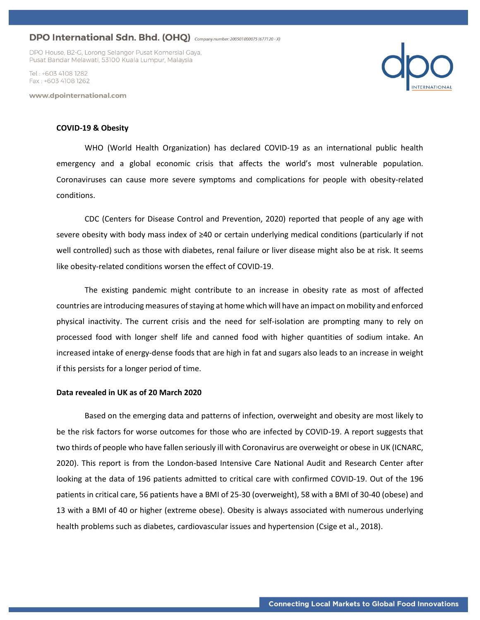DPO House, B2-G, Lorong Selangor Pusat Komersial Gaya, Pusat Bandar Melawati, 53100 Kuala Lumpur, Malaysia

Tel · +603 4108 1282 Fax: +603 4108 1262

www.dpointernational.com



#### **COVID-19 & Obesity**

WHO (World Health Organization) has declared COVID-19 as an international public health emergency and a global economic crisis that affects the world's most vulnerable population. Coronaviruses can cause more severe symptoms and complications for people with obesity-related conditions.

CDC (Centers for Disease Control and Prevention, 2020) reported that people of any age with severe obesity with body mass index of ≥40 or certain underlying medical conditions (particularly if not well controlled) such as those with diabetes, renal failure or liver disease might also be at risk. It seems like obesity-related conditions worsen the effect of COVID-19.

The existing pandemic might contribute to an increase in obesity rate as most of affected countries are introducing measures of staying at home which will have an impact on mobility and enforced physical inactivity. The current crisis and the need for self-isolation are prompting many to rely on processed food with longer shelf life and canned food with higher quantities of sodium intake. An increased intake of energy-dense foods that are high in fat and sugars also leads to an increase in weight if this persists for a longer period of time.

#### **Data revealed in UK as of 20 March 2020**

Based on the emerging data and patterns of infection, overweight and obesity are most likely to be the risk factors for worse outcomes for those who are infected by COVID-19. A report suggests that two thirds of people who have fallen seriously ill with Coronavirus are overweight or obese in UK (ICNARC, 2020). This report is from the London-based Intensive Care National Audit and Research Center after looking at the data of 196 patients admitted to critical care with confirmed COVID-19. Out of the 196 patients in critical care, 56 patients have a BMI of 25-30 (overweight), 58 with a BMI of 30-40 (obese) and 13 with a BMI of 40 or higher (extreme obese). Obesity is always associated with numerous underlying health problems such as diabetes, cardiovascular issues and hypertension (Csige et al., 2018).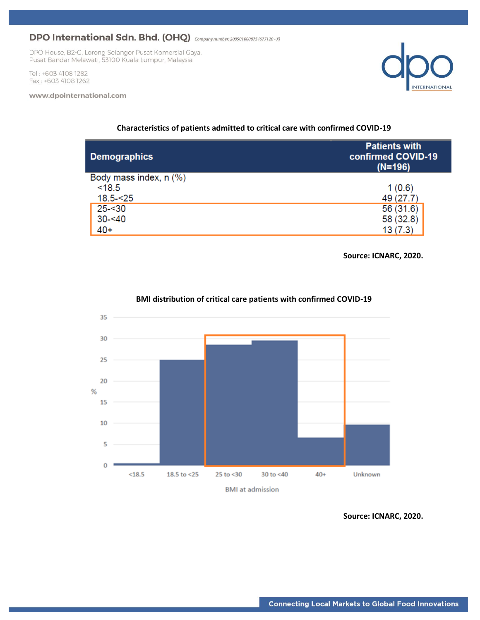DPO House, B2-G, Lorong Selangor Pusat Komersial Gaya, Pusat Bandar Melawati, 53100 Kuala Lumpur, Malaysia

Tel: +603 4108 1282 Fax: +603 4108 1262

#### www.dpointernational.com



| <b>Demographics</b>    | <b>Patients with</b><br>confirmed COVID-19<br>$(N=196)$ |
|------------------------|---------------------------------------------------------|
| Body mass index, n (%) |                                                         |
| < 18.5                 | 1(0.6)                                                  |
| $18.5 - 25$            | 49 (27.7)                                               |
| $25 - 30$              | 56(31.6)                                                |
| $30 - 40$              | 58 (32.8)                                               |
| $40+$                  | 13(7.3)                                                 |

## **Characteristics of patients admitted to critical care with confirmed COVID-19**

**Source: ICNARC, 2020.**



## **BMI distribution of critical care patients with confirmed COVID-19**

**Source: ICNARC, 2020.**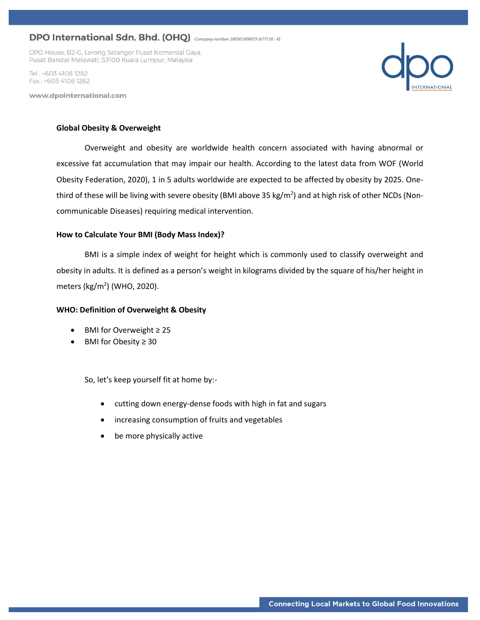DPO House, B2-G, Lorong Selangor Pusat Komersial Gaya, Pusat Bandar Melawati, 53100 Kuala Lumpur, Malaysia

Tel: +603 4108 1282 Fax: +603 4108 1262

www.dpointernational.com



### **Global Obesity & Overweight**

Overweight and obesity are worldwide health concern associated with having abnormal or excessive fat accumulation that may impair our health. According to the latest data from WOF (World Obesity Federation, 2020), 1 in 5 adults worldwide are expected to be affected by obesity by 2025. Onethird of these will be living with severe obesity (BMI above 35 kg/m<sup>2</sup>) and at high risk of other NCDs (Noncommunicable Diseases) requiring medical intervention.

### **How to Calculate Your BMI (Body Mass Index)?**

BMI is a simple index of weight for height which is commonly used to classify overweight and obesity in adults. It is defined as a person's weight in kilograms divided by the square of his/her height in meters (kg/m<sup>2</sup>) (WHO, 2020).

### **WHO: Definition of Overweight & Obesity**

- BMI for Overweight ≥ 25
- BMI for Obesity ≥ 30

So, let's keep yourself fit at home by:-

- cutting down energy-dense foods with high in fat and sugars
- increasing consumption of fruits and vegetables
- be more physically active